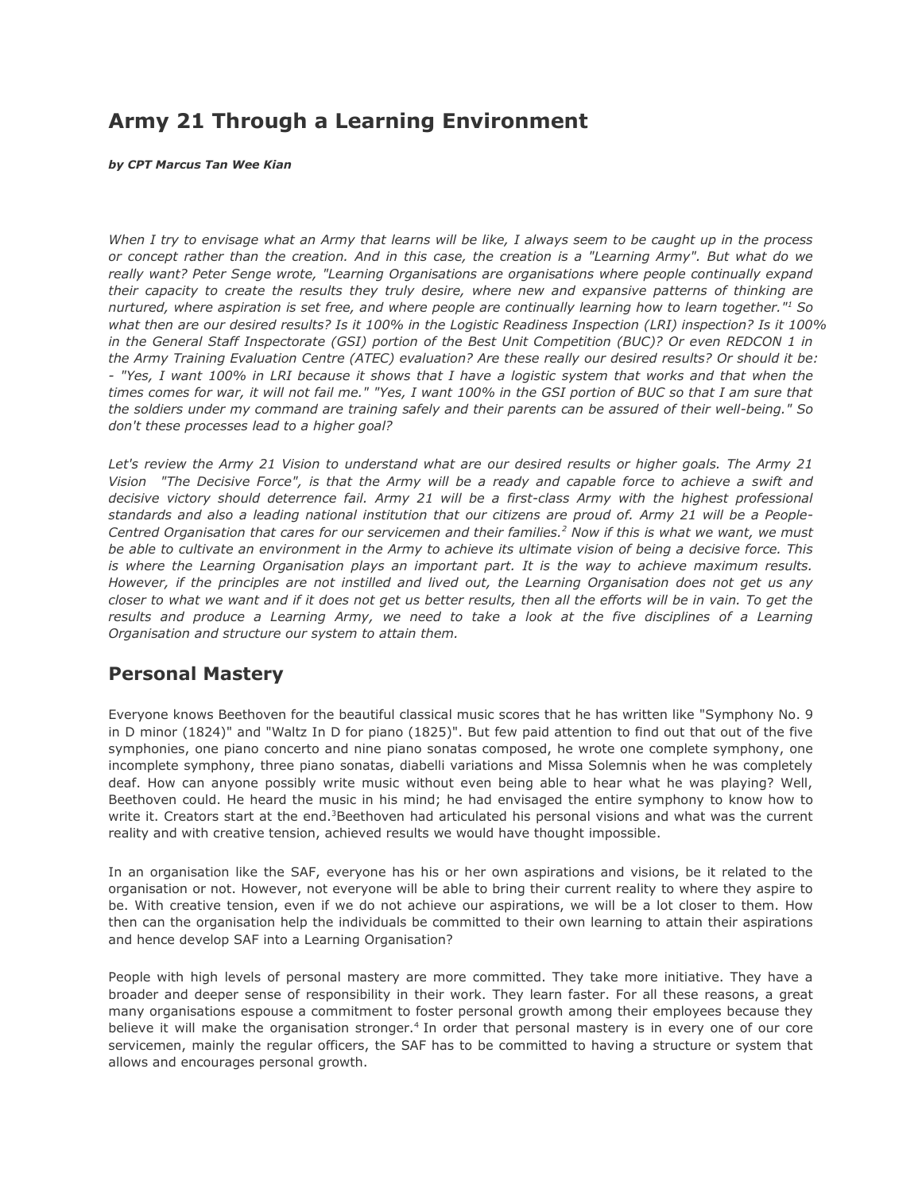# **Army 21 Through a Learning Environment**

*by CPT Marcus Tan Wee Kian*

*When I try to envisage what an Army that learns will be like, I always seem to be caught up in the process or concept rather than the creation. And in this case, the creation is a "Learning Army". But what do we really want? Peter Senge wrote, "Learning Organisations are organisations where people continually expand their capacity to create the results they truly desire, where new and expansive patterns of thinking are nurtured, where aspiration is set free, and where people are continually learning how to learn together."<sup>1</sup> So what then are our desired results? Is it 100% in the Logistic Readiness Inspection (LRI) inspection? Is it 100% in the General Staff Inspectorate (GSI) portion of the Best Unit Competition (BUC)? Or even REDCON 1 in the Army Training Evaluation Centre (ATEC) evaluation? Are these really our desired results? Or should it be: - "Yes, I want 100% in LRI because it shows that I have a logistic system that works and that when the times comes for war, it will not fail me." "Yes, I want 100% in the GSI portion of BUC so that I am sure that the soldiers under my command are training safely and their parents can be assured of their well-being." So don't these processes lead to a higher goal?*

*Let's review the Army 21 Vision to understand what are our desired results or higher goals. The Army 21 Vision "The Decisive Force", is that the Army will be a ready and capable force to achieve a swift and decisive victory should deterrence fail. Army 21 will be a first-class Army with the highest professional standards and also a leading national institution that our citizens are proud of. Army 21 will be a People-Centred Organisation that cares for our servicemen and their families.<sup>2</sup> Now if this is what we want, we must be able to cultivate an environment in the Army to achieve its ultimate vision of being a decisive force. This is where the Learning Organisation plays an important part. It is the way to achieve maximum results. However, if the principles are not instilled and lived out, the Learning Organisation does not get us any closer to what we want and if it does not get us better results, then all the efforts will be in vain. To get the results and produce a Learning Army, we need to take a look at the five disciplines of a Learning Organisation and structure our system to attain them.*

## **Personal Mastery**

Everyone knows Beethoven for the beautiful classical music scores that he has written like "Symphony No. 9 in D minor (1824)" and "Waltz In D for piano (1825)". But few paid attention to find out that out of the five symphonies, one piano concerto and nine piano sonatas composed, he wrote one complete symphony, one incomplete symphony, three piano sonatas, diabelli variations and Missa Solemnis when he was completely deaf. How can anyone possibly write music without even being able to hear what he was playing? Well, Beethoven could. He heard the music in his mind; he had envisaged the entire symphony to know how to write it. Creators start at the end.<sup>3</sup>Beethoven had articulated his personal visions and what was the current reality and with creative tension, achieved results we would have thought impossible.

In an organisation like the SAF, everyone has his or her own aspirations and visions, be it related to the organisation or not. However, not everyone will be able to bring their current reality to where they aspire to be. With creative tension, even if we do not achieve our aspirations, we will be a lot closer to them. How then can the organisation help the individuals be committed to their own learning to attain their aspirations and hence develop SAF into a Learning Organisation?

People with high levels of personal mastery are more committed. They take more initiative. They have a broader and deeper sense of responsibility in their work. They learn faster. For all these reasons, a great many organisations espouse a commitment to foster personal growth among their employees because they believe it will make the organisation stronger.<sup>4</sup> In order that personal mastery is in every one of our core servicemen, mainly the regular officers, the SAF has to be committed to having a structure or system that allows and encourages personal growth.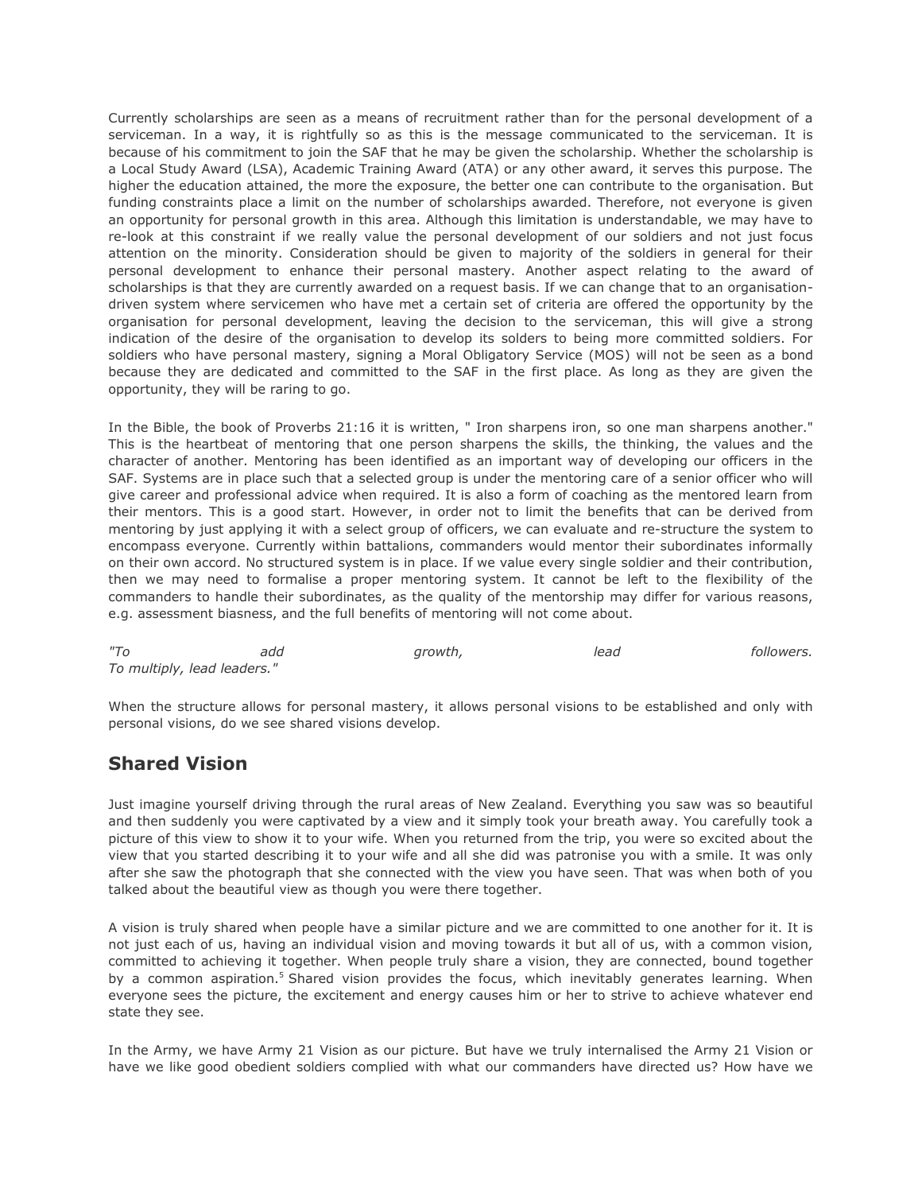Currently scholarships are seen as a means of recruitment rather than for the personal development of a serviceman. In a way, it is rightfully so as this is the message communicated to the serviceman. It is because of his commitment to join the SAF that he may be given the scholarship. Whether the scholarship is a Local Study Award (LSA), Academic Training Award (ATA) or any other award, it serves this purpose. The higher the education attained, the more the exposure, the better one can contribute to the organisation. But funding constraints place a limit on the number of scholarships awarded. Therefore, not everyone is given an opportunity for personal growth in this area. Although this limitation is understandable, we may have to re-look at this constraint if we really value the personal development of our soldiers and not just focus attention on the minority. Consideration should be given to majority of the soldiers in general for their personal development to enhance their personal mastery. Another aspect relating to the award of scholarships is that they are currently awarded on a request basis. If we can change that to an organisationdriven system where servicemen who have met a certain set of criteria are offered the opportunity by the organisation for personal development, leaving the decision to the serviceman, this will give a strong indication of the desire of the organisation to develop its solders to being more committed soldiers. For soldiers who have personal mastery, signing a Moral Obligatory Service (MOS) will not be seen as a bond because they are dedicated and committed to the SAF in the first place. As long as they are given the opportunity, they will be raring to go.

In the Bible, the book of Proverbs 21:16 it is written, " Iron sharpens iron, so one man sharpens another." This is the heartbeat of mentoring that one person sharpens the skills, the thinking, the values and the character of another. Mentoring has been identified as an important way of developing our officers in the SAF. Systems are in place such that a selected group is under the mentoring care of a senior officer who will give career and professional advice when required. It is also a form of coaching as the mentored learn from their mentors. This is a good start. However, in order not to limit the benefits that can be derived from mentoring by just applying it with a select group of officers, we can evaluate and re-structure the system to encompass everyone. Currently within battalions, commanders would mentor their subordinates informally on their own accord. No structured system is in place. If we value every single soldier and their contribution, then we may need to formalise a proper mentoring system. It cannot be left to the flexibility of the commanders to handle their subordinates, as the quality of the mentorship may differ for various reasons, e.g. assessment biasness, and the full benefits of mentoring will not come about.

| $^{\prime\prime}$ To        | add | growth, | lead | followers. |
|-----------------------------|-----|---------|------|------------|
| To multiply, lead leaders." |     |         |      |            |

When the structure allows for personal mastery, it allows personal visions to be established and only with personal visions, do we see shared visions develop.

## **Shared Vision**

Just imagine yourself driving through the rural areas of New Zealand. Everything you saw was so beautiful and then suddenly you were captivated by a view and it simply took your breath away. You carefully took a picture of this view to show it to your wife. When you returned from the trip, you were so excited about the view that you started describing it to your wife and all she did was patronise you with a smile. It was only after she saw the photograph that she connected with the view you have seen. That was when both of you talked about the beautiful view as though you were there together.

A vision is truly shared when people have a similar picture and we are committed to one another for it. It is not just each of us, having an individual vision and moving towards it but all of us, with a common vision, committed to achieving it together. When people truly share a vision, they are connected, bound together by a common aspiration.<sup>5</sup> Shared vision provides the focus, which inevitably generates learning. When everyone sees the picture, the excitement and energy causes him or her to strive to achieve whatever end state they see.

In the Army, we have Army 21 Vision as our picture. But have we truly internalised the Army 21 Vision or have we like good obedient soldiers complied with what our commanders have directed us? How have we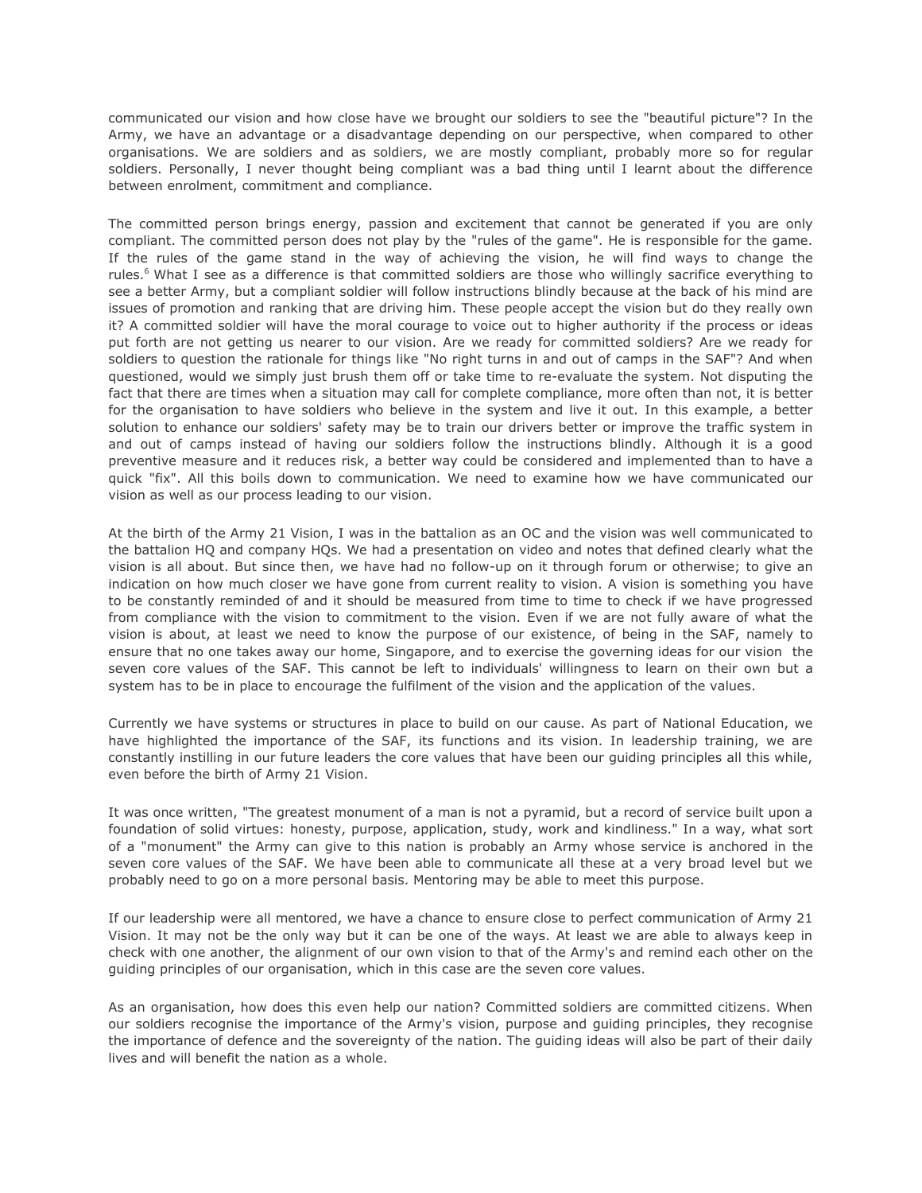communicated our vision and how close have we brought our soldiers to see the "beautiful picture"? In the Army, we have an advantage or a disadvantage depending on our perspective, when compared to other organisations. We are soldiers and as soldiers, we are mostly compliant, probably more so for regular soldiers. Personally, I never thought being compliant was a bad thing until I learnt about the difference between enrolment, commitment and compliance.

The committed person brings energy, passion and excitement that cannot be generated if you are only compliant. The committed person does not play by the "rules of the game". He is responsible for the game. If the rules of the game stand in the way of achieving the vision, he will find ways to change the rules.<sup>6</sup> What I see as a difference is that committed soldiers are those who willingly sacrifice everything to see a better Army, but a compliant soldier will follow instructions blindly because at the back of his mind are issues of promotion and ranking that are driving him. These people accept the vision but do they really own it? A committed soldier will have the moral courage to voice out to higher authority if the process or ideas put forth are not getting us nearer to our vision. Are we ready for committed soldiers? Are we ready for soldiers to question the rationale for things like "No right turns in and out of camps in the SAF"? And when questioned, would we simply just brush them off or take time to re-evaluate the system. Not disputing the fact that there are times when a situation may call for complete compliance, more often than not, it is better for the organisation to have soldiers who believe in the system and live it out. In this example, a better solution to enhance our soldiers' safety may be to train our drivers better or improve the traffic system in and out of camps instead of having our soldiers follow the instructions blindly. Although it is a good preventive measure and it reduces risk, a better way could be considered and implemented than to have a quick "fix". All this boils down to communication. We need to examine how we have communicated our vision as well as our process leading to our vision.

At the birth of the Army 21 Vision, I was in the battalion as an OC and the vision was well communicated to the battalion HQ and company HQs. We had a presentation on video and notes that defined clearly what the vision is all about. But since then, we have had no follow-up on it through forum or otherwise; to give an indication on how much closer we have gone from current reality to vision. A vision is something you have to be constantly reminded of and it should be measured from time to time to check if we have progressed from compliance with the vision to commitment to the vision. Even if we are not fully aware of what the vision is about, at least we need to know the purpose of our existence, of being in the SAF, namely to ensure that no one takes away our home, Singapore, and to exercise the governing ideas for our vision the seven core values of the SAF. This cannot be left to individuals' willingness to learn on their own but a system has to be in place to encourage the fulfilment of the vision and the application of the values.

Currently we have systems or structures in place to build on our cause. As part of National Education, we have highlighted the importance of the SAF, its functions and its vision. In leadership training, we are constantly instilling in our future leaders the core values that have been our guiding principles all this while, even before the birth of Army 21 Vision.

It was once written, "The greatest monument of a man is not a pyramid, but a record of service built upon a foundation of solid virtues: honesty, purpose, application, study, work and kindliness." In a way, what sort of a "monument" the Army can give to this nation is probably an Army whose service is anchored in the seven core values of the SAF. We have been able to communicate all these at a very broad level but we probably need to go on a more personal basis. Mentoring may be able to meet this purpose.

If our leadership were all mentored, we have a chance to ensure close to perfect communication of Army 21 Vision. It may not be the only way but it can be one of the ways. At least we are able to always keep in check with one another, the alignment of our own vision to that of the Army's and remind each other on the guiding principles of our organisation, which in this case are the seven core values.

As an organisation, how does this even help our nation? Committed soldiers are committed citizens. When our soldiers recognise the importance of the Army's vision, purpose and guiding principles, they recognise the importance of defence and the sovereignty of the nation. The guiding ideas will also be part of their daily lives and will benefit the nation as a whole.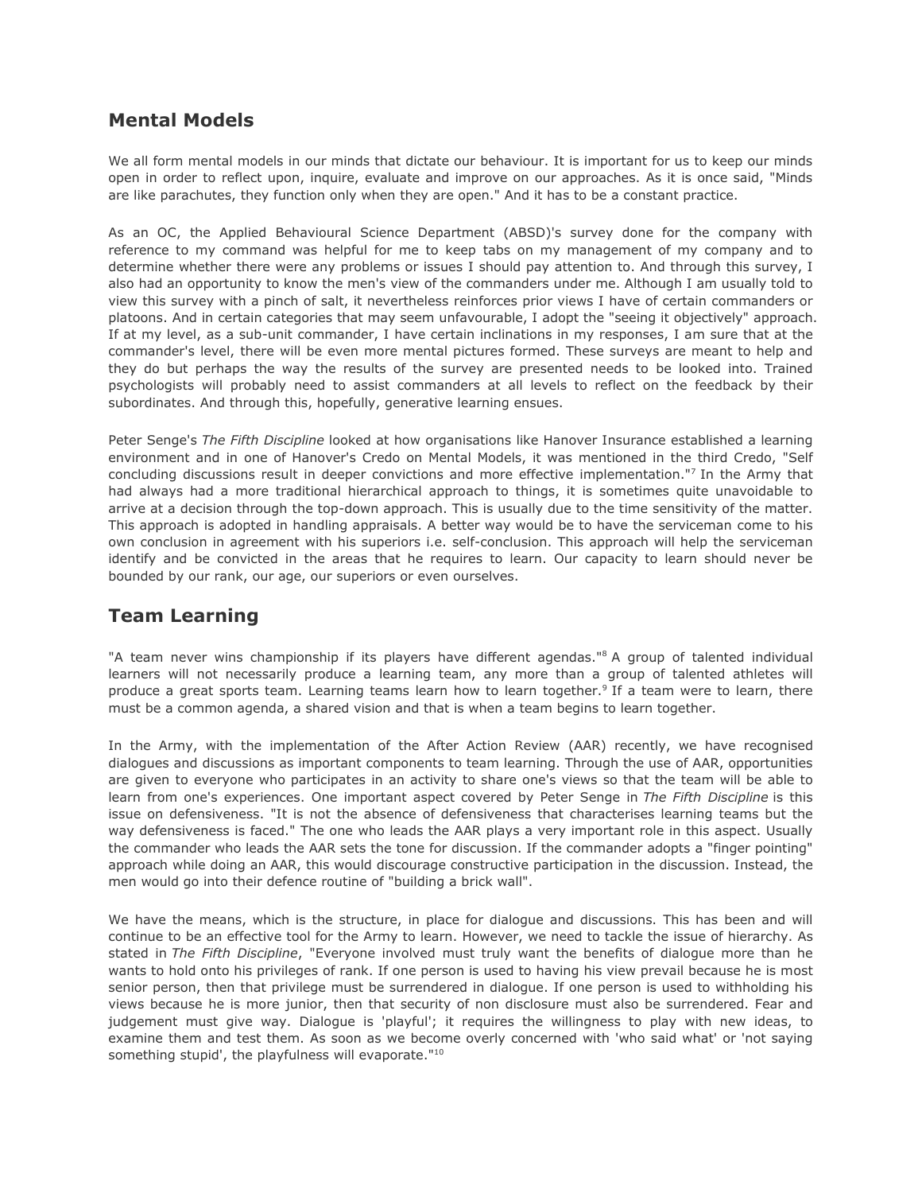## **Mental Models**

We all form mental models in our minds that dictate our behaviour. It is important for us to keep our minds open in order to reflect upon, inquire, evaluate and improve on our approaches. As it is once said, "Minds are like parachutes, they function only when they are open." And it has to be a constant practice.

As an OC, the Applied Behavioural Science Department (ABSD)'s survey done for the company with reference to my command was helpful for me to keep tabs on my management of my company and to determine whether there were any problems or issues I should pay attention to. And through this survey, I also had an opportunity to know the men's view of the commanders under me. Although I am usually told to view this survey with a pinch of salt, it nevertheless reinforces prior views I have of certain commanders or platoons. And in certain categories that may seem unfavourable, I adopt the "seeing it objectively" approach. If at my level, as a sub-unit commander, I have certain inclinations in my responses, I am sure that at the commander's level, there will be even more mental pictures formed. These surveys are meant to help and they do but perhaps the way the results of the survey are presented needs to be looked into. Trained psychologists will probably need to assist commanders at all levels to reflect on the feedback by their subordinates. And through this, hopefully, generative learning ensues.

Peter Senge's *The Fifth Discipline* looked at how organisations like Hanover Insurance established a learning environment and in one of Hanover's Credo on Mental Models, it was mentioned in the third Credo, "Self concluding discussions result in deeper convictions and more effective implementation."<sup>7</sup> In the Army that had always had a more traditional hierarchical approach to things, it is sometimes quite unavoidable to arrive at a decision through the top-down approach. This is usually due to the time sensitivity of the matter. This approach is adopted in handling appraisals. A better way would be to have the serviceman come to his own conclusion in agreement with his superiors i.e. self-conclusion. This approach will help the serviceman identify and be convicted in the areas that he requires to learn. Our capacity to learn should never be bounded by our rank, our age, our superiors or even ourselves.

## **Team Learning**

"A team never wins championship if its players have different agendas."<sup>8</sup> A group of talented individual learners will not necessarily produce a learning team, any more than a group of talented athletes will produce a great sports team. Learning teams learn how to learn together.<sup>9</sup> If a team were to learn, there must be a common agenda, a shared vision and that is when a team begins to learn together.

In the Army, with the implementation of the After Action Review (AAR) recently, we have recognised dialogues and discussions as important components to team learning. Through the use of AAR, opportunities are given to everyone who participates in an activity to share one's views so that the team will be able to learn from one's experiences. One important aspect covered by Peter Senge in *The Fifth Discipline* is this issue on defensiveness. "It is not the absence of defensiveness that characterises learning teams but the way defensiveness is faced." The one who leads the AAR plays a very important role in this aspect. Usually the commander who leads the AAR sets the tone for discussion. If the commander adopts a "finger pointing" approach while doing an AAR, this would discourage constructive participation in the discussion. Instead, the men would go into their defence routine of "building a brick wall".

We have the means, which is the structure, in place for dialogue and discussions. This has been and will continue to be an effective tool for the Army to learn. However, we need to tackle the issue of hierarchy. As stated in *The Fifth Discipline*, "Everyone involved must truly want the benefits of dialogue more than he wants to hold onto his privileges of rank. If one person is used to having his view prevail because he is most senior person, then that privilege must be surrendered in dialogue. If one person is used to withholding his views because he is more junior, then that security of non disclosure must also be surrendered. Fear and judgement must give way. Dialogue is 'playful'; it requires the willingness to play with new ideas, to examine them and test them. As soon as we become overly concerned with 'who said what' or 'not saying something stupid', the playfulness will evaporate."<sup>10</sup>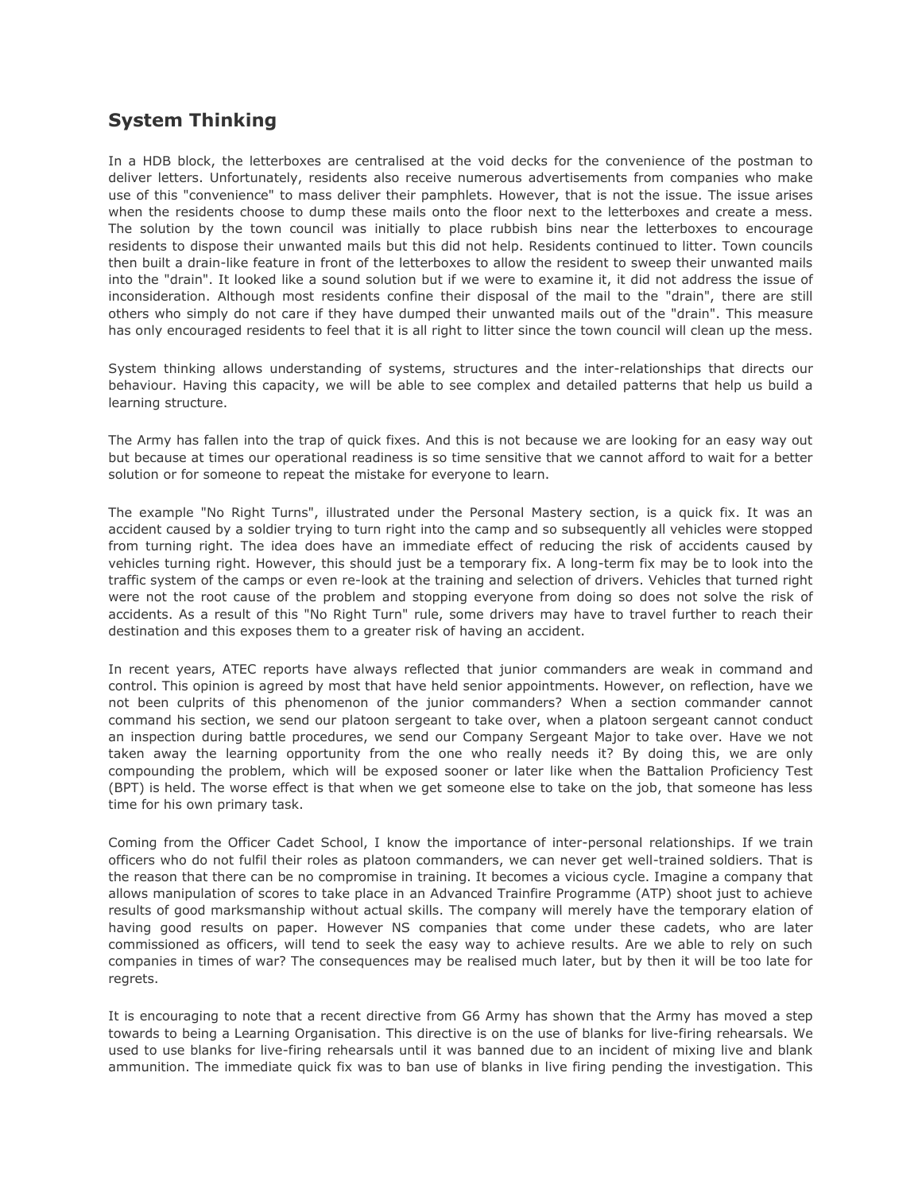## **System Thinking**

In a HDB block, the letterboxes are centralised at the void decks for the convenience of the postman to deliver letters. Unfortunately, residents also receive numerous advertisements from companies who make use of this "convenience" to mass deliver their pamphlets. However, that is not the issue. The issue arises when the residents choose to dump these mails onto the floor next to the letterboxes and create a mess. The solution by the town council was initially to place rubbish bins near the letterboxes to encourage residents to dispose their unwanted mails but this did not help. Residents continued to litter. Town councils then built a drain-like feature in front of the letterboxes to allow the resident to sweep their unwanted mails into the "drain". It looked like a sound solution but if we were to examine it, it did not address the issue of inconsideration. Although most residents confine their disposal of the mail to the "drain", there are still others who simply do not care if they have dumped their unwanted mails out of the "drain". This measure has only encouraged residents to feel that it is all right to litter since the town council will clean up the mess.

System thinking allows understanding of systems, structures and the inter-relationships that directs our behaviour. Having this capacity, we will be able to see complex and detailed patterns that help us build a learning structure.

The Army has fallen into the trap of quick fixes. And this is not because we are looking for an easy way out but because at times our operational readiness is so time sensitive that we cannot afford to wait for a better solution or for someone to repeat the mistake for everyone to learn.

The example "No Right Turns", illustrated under the Personal Mastery section, is a quick fix. It was an accident caused by a soldier trying to turn right into the camp and so subsequently all vehicles were stopped from turning right. The idea does have an immediate effect of reducing the risk of accidents caused by vehicles turning right. However, this should just be a temporary fix. A long-term fix may be to look into the traffic system of the camps or even re-look at the training and selection of drivers. Vehicles that turned right were not the root cause of the problem and stopping everyone from doing so does not solve the risk of accidents. As a result of this "No Right Turn" rule, some drivers may have to travel further to reach their destination and this exposes them to a greater risk of having an accident.

In recent years, ATEC reports have always reflected that junior commanders are weak in command and control. This opinion is agreed by most that have held senior appointments. However, on reflection, have we not been culprits of this phenomenon of the junior commanders? When a section commander cannot command his section, we send our platoon sergeant to take over, when a platoon sergeant cannot conduct an inspection during battle procedures, we send our Company Sergeant Major to take over. Have we not taken away the learning opportunity from the one who really needs it? By doing this, we are only compounding the problem, which will be exposed sooner or later like when the Battalion Proficiency Test (BPT) is held. The worse effect is that when we get someone else to take on the job, that someone has less time for his own primary task.

Coming from the Officer Cadet School, I know the importance of inter-personal relationships. If we train officers who do not fulfil their roles as platoon commanders, we can never get well-trained soldiers. That is the reason that there can be no compromise in training. It becomes a vicious cycle. Imagine a company that allows manipulation of scores to take place in an Advanced Trainfire Programme (ATP) shoot just to achieve results of good marksmanship without actual skills. The company will merely have the temporary elation of having good results on paper. However NS companies that come under these cadets, who are later commissioned as officers, will tend to seek the easy way to achieve results. Are we able to rely on such companies in times of war? The consequences may be realised much later, but by then it will be too late for regrets.

It is encouraging to note that a recent directive from G6 Army has shown that the Army has moved a step towards to being a Learning Organisation. This directive is on the use of blanks for live-firing rehearsals. We used to use blanks for live-firing rehearsals until it was banned due to an incident of mixing live and blank ammunition. The immediate quick fix was to ban use of blanks in live firing pending the investigation. This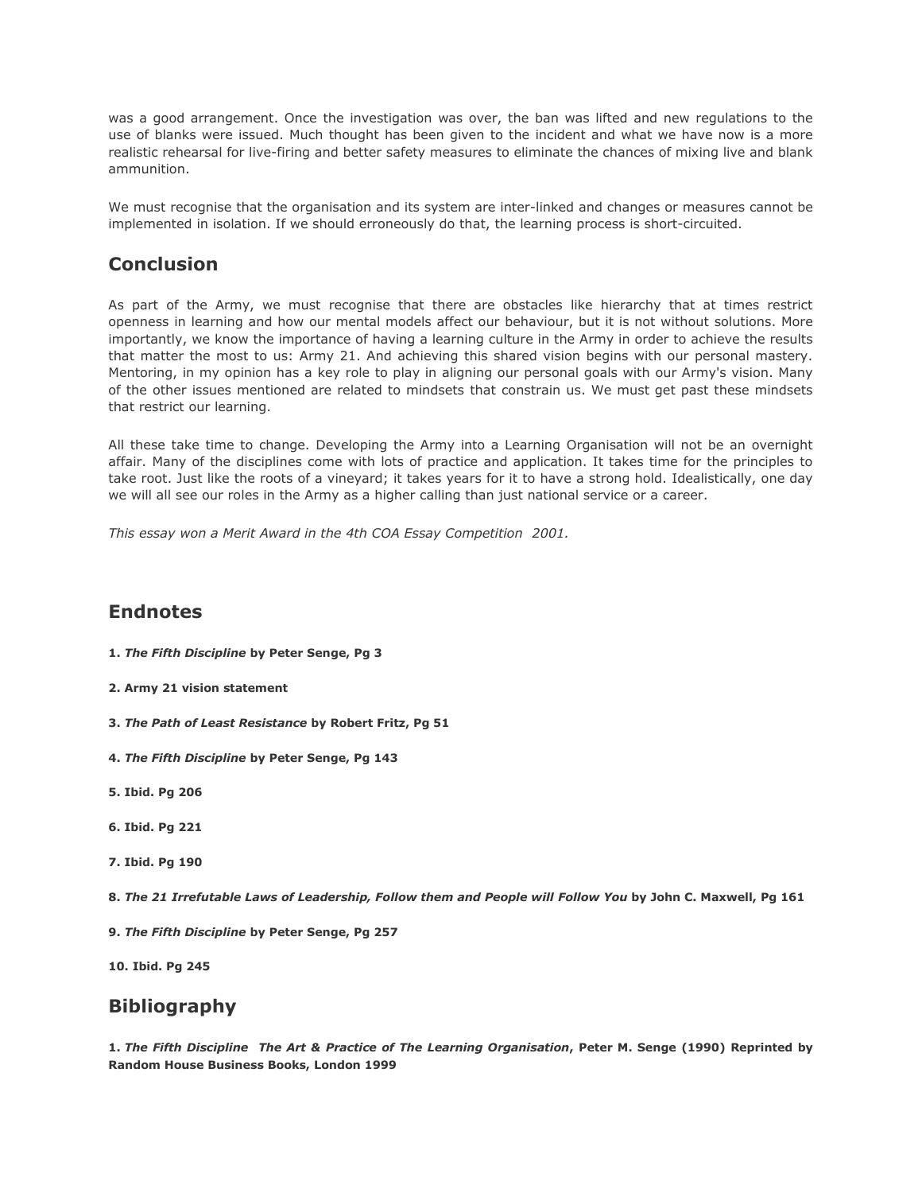was a good arrangement. Once the investigation was over, the ban was lifted and new regulations to the use of blanks were issued. Much thought has been given to the incident and what we have now is a more realistic rehearsal for live-firing and better safety measures to eliminate the chances of mixing live and blank ammunition.

We must recognise that the organisation and its system are inter-linked and changes or measures cannot be implemented in isolation. If we should erroneously do that, the learning process is short-circuited.

# **Conclusion**

As part of the Army, we must recognise that there are obstacles like hierarchy that at times restrict openness in learning and how our mental models affect our behaviour, but it is not without solutions. More importantly, we know the importance of having a learning culture in the Army in order to achieve the results that matter the most to us: Army 21. And achieving this shared vision begins with our personal mastery. Mentoring, in my opinion has a key role to play in aligning our personal goals with our Army's vision. Many of the other issues mentioned are related to mindsets that constrain us. We must get past these mindsets that restrict our learning.

All these take time to change. Developing the Army into a Learning Organisation will not be an overnight affair. Many of the disciplines come with lots of practice and application. It takes time for the principles to take root. Just like the roots of a vineyard; it takes years for it to have a strong hold. Idealistically, one day we will all see our roles in the Army as a higher calling than just national service or a career.

*This essay won a Merit Award in the 4th COA Essay Competition 2001.*

## **Endnotes**

- **1.** *The Fifth Discipline* **by Peter Senge, Pg 3**
- **2. Army 21 vision statement**
- **3.** *The Path of Least Resistance* **by Robert Fritz, Pg 51**
- **4.** *The Fifth Discipline* **by Peter Senge, Pg 143**
- **5. Ibid. Pg 206**
- **6. Ibid. Pg 221**
- **7. Ibid. Pg 190**
- **8.** *The 21 Irrefutable Laws of Leadership, Follow them and People will Follow You* **by John C. Maxwell, Pg 161**
- **9.** *The Fifth Discipline* **by Peter Senge, Pg 257**

**10. Ibid. Pg 245**

## **Bibliography**

**1.** *The Fifth Discipline The Art & Practice of The Learning Organisation***, Peter M. Senge (1990) Reprinted by Random House Business Books, London 1999**